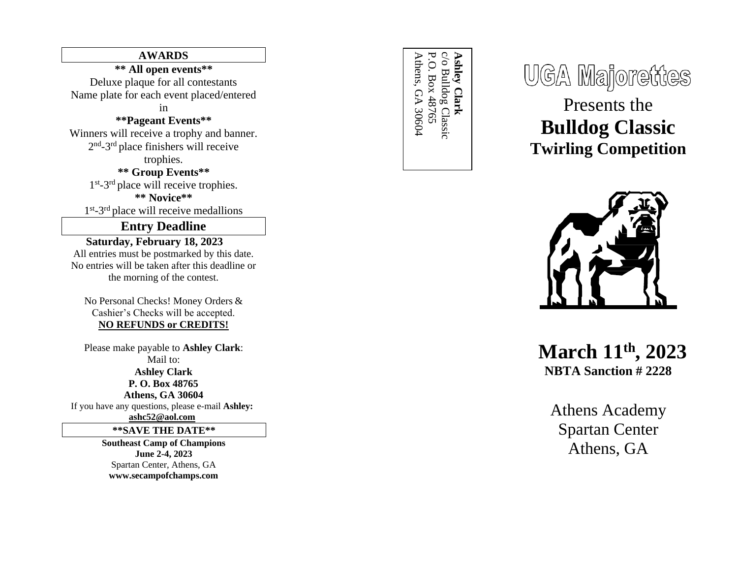## **AWARDS**

**\*\* All open events\*\*** Deluxe plaque for all contestants Name plate for each event placed/entered

in

### **\*\*Pageant Events\*\***

Winners will receive a trophy and banner. 2<sup>nd</sup>-3<sup>rd</sup> place finishers will receive trophies.

> **\*\* Group Events\*\*** 1<sup>st</sup>-3<sup>rd</sup> place will receive trophies. **\*\* Novice\*\***

1<sup>st</sup>-3<sup>rd</sup> place will receive medallions

## **Entry Deadline**

**Saturday, February 1 8, 20 2 3** All entries must be postmarked by this date. No entries will be taken after this deadline or the morning of the contest.

No Personal Checks! Money Orders & Cashier's Checks will be accepted. **NO REFUNDS or CREDITS!**

Please make payable to **Ashley Clark**: Mail to: **Ashley Clark P. O. Box 48765 Athens, GA 30604** If you have any questions, please e -mail **Ashley:** 

**[ashc52@aol.com](mailto:ashc52@aol.com)**

**\*\*SAVE THE DATE\*\***

**Southeast Camp of Champions June 2 - 4, 20 2 3** Spartan Center, Athens, GA **[www.secampofchamps.com](http://www.secampofchamps.com/)**

Athens, GA 30604 P.O. Box 48765 c/o Bulldog Classic **Ashley Clark** Athens, GA 30604 P.O. Box 48765 c/o Bulldog Classic **Ashley Clark**

**UGA Majorettes** 

Presents the **Bulldog Classic Twirling Competition**



**March 11th, 202 3 NBTA Sanction # 2228**

Athens Academy Spartan Center Athens, GA